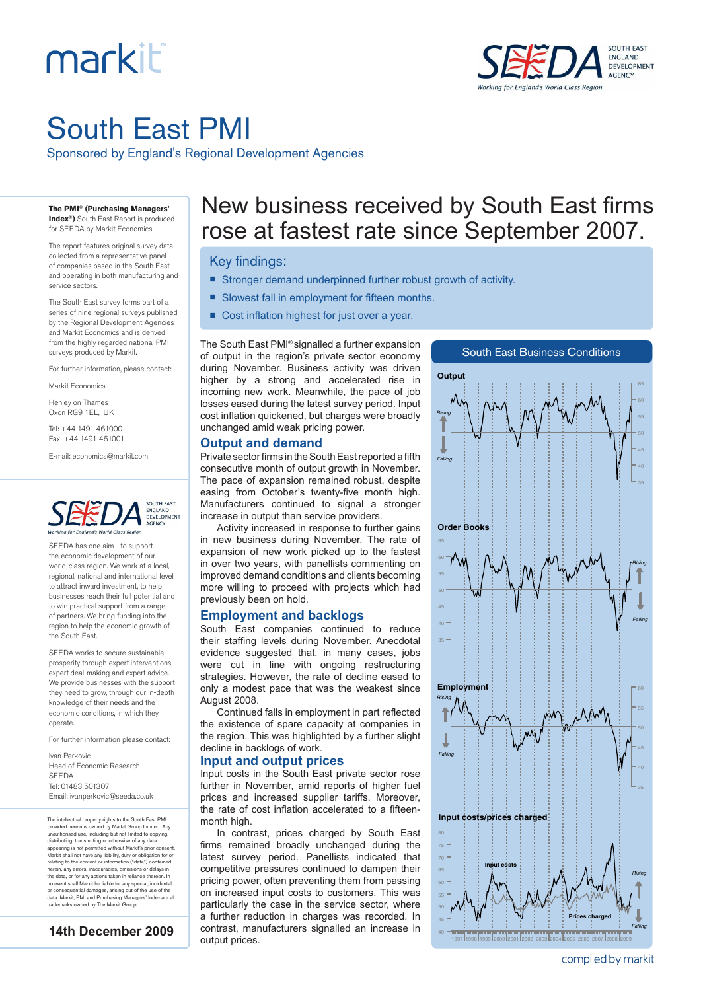# markiti



## South East PMI

Sponsored by England's Regional Development Agencies

#### **The PMI® (Purchasing Managers' Index®)** South East Report is produced

for SEEDA by Markit Economics.

The report features original survey data collected from a representative panel of companies based in the South East and operating in both manufacturing and service sectors.

The South East survey forms part of a series of nine regional surveys published by the Regional Development Agencies and Markit Economics and is derived from the highly regarded national PMI surveys produced by Markit.

For further information, please contact:

Markit Economics

Henley on Thames Oxon RG9 1EL, UK

Tel: +44 1491 461000 Fax: +44 1491 461001

E-mail: economics@markit.com



SEEDA has one aim - to support the economic development of our world-class region. We work at a local, regional, national and international level to attract inward investment, to help businesses reach their full potential and to win practical support from a range of partners. We bring funding into the region to help the economic growth of the South East.

SEEDA works to secure sustainable prosperity through expert interventions, expert deal-making and expert advice. We provide businesses with the support they need to grow, through our in-depth knowledge of their needs and the economic conditions, in which they operate.

For further information please contact:

Ivan Perkovic Head of Economic Research SEEDA Tel: 01483 501307 Email: ivanperkovic@seeda.co.uk

The intellectual property rights to the South East PMI provided herein is owned by Markit Group Limited. Any<br>unauthorised use, including but not limited to copying,<br>distributing, transmitting or otherwise of any data<br>appearing is not permitted without Markit's prior consent.<br>M herein, any errors, inaccuracies, omissions or delays in the data, or for any actions taken in reliance thereon. In no event shall Markit be liable for any special, incidental, or consequential damages, arising out of the use of the data. Markit, PMI and Purchasing Managers' Index are all trademarks owned by The Markit Group.

**14th December 2009**

### New business received by South East firms rose at fastest rate since September 2007.

#### Key findings:

- Stronger demand underpinned further robust growth of activity.
- Slowest fall in employment for fifteen months.
- Cost inflation highest for just over a year.

The South East PMI® signalled a further expansion of output in the region's private sector economy during November. Business activity was driven higher by a strong and accelerated rise in incoming new work. Meanwhile, the pace of job losses eased during the latest survey period. Input cost inflation quickened, but charges were broadly unchanged amid weak pricing power.



1997 1998 1999 2000 2001 2002 2003 2004 2005 2006 2007 2008 2009

#### **Output and demand**

Private sector firms in the South East reported a fifth consecutive month of output growth in November. The pace of expansion remained robust, despite easing from October's twenty-five month high. Manufacturers continued to signal a stronger increase in output than service providers.

Activity increased in response to further gains in new business during November. The rate of expansion of new work picked up to the fastest in over two years, with panellists commenting on improved demand conditions and clients becoming more willing to proceed with projects which had previously been on hold.

#### **Employment and backlogs**

South East companies continued to reduce their staffing levels during November. Anecdotal evidence suggested that, in many cases, jobs were cut in line with ongoing restructuring strategies. However, the rate of decline eased to only a modest pace that was the weakest since August 2008.

Continued falls in employment in part reflected the existence of spare capacity at companies in the region. This was highlighted by a further slight decline in backlogs of work.

#### **Input and output prices**

Input costs in the South East private sector rose further in November, amid reports of higher fuel prices and increased supplier tariffs. Moreover, the rate of cost inflation accelerated to a fifteenmonth high.

In contrast, prices charged by South East firms remained broadly unchanged during the latest survey period. Panellists indicated that competitive pressures continued to dampen their pricing power, often preventing them from passing on increased input costs to customers. This was particularly the case in the service sector, where a further reduction in charges was recorded. In contrast, manufacturers signalled an increase in output prices.

compiled by markit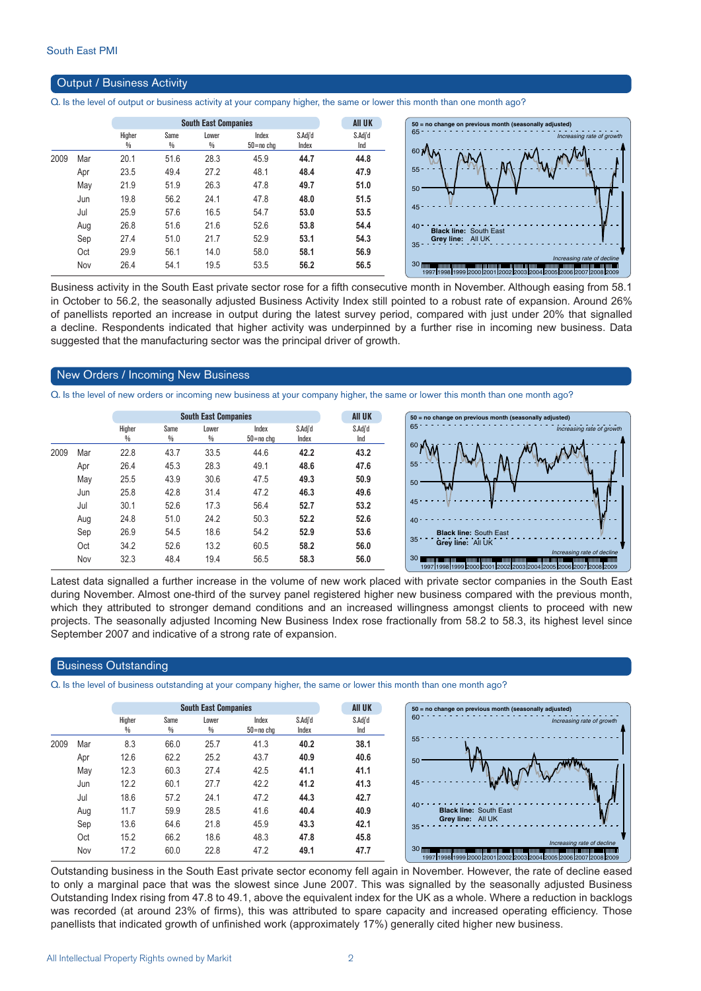#### Output / Business Activity

Q. Is the level of output or business activity at your company higher, the same or lower this month than one month ago?

|      |     |             | <b>South East Companies</b> |            |                        |                  | <b>AII UK</b>  | $50$ = no change on previous month (seasonally adjusted)                                                                                                                                                            |
|------|-----|-------------|-----------------------------|------------|------------------------|------------------|----------------|---------------------------------------------------------------------------------------------------------------------------------------------------------------------------------------------------------------------|
|      |     | Higher<br>₩ | Same<br>%                   | Lower<br>% | Index<br>$50 = no$ chg | S.Adj'd<br>Index | S.Adj'd<br>Ind | 65<br>Increasing rate of growth                                                                                                                                                                                     |
| 2009 | Mar | 20.1        | 51.6                        | 28.3       | 45.9                   | 44.7             | 44.8           | 60 N                                                                                                                                                                                                                |
|      | Apr | 23.5        | 49.4                        | 27.2       | 48.1                   | 48.4             | 47.9           | $55 -$                                                                                                                                                                                                              |
|      | May | 21.9        | 51.9                        | 26.3       | 47.8                   | 49.7             | 51.0           | 50                                                                                                                                                                                                                  |
|      | Jun | 19.8        | 56.2                        | 24.1       | 47.8                   | 48.0             | 51.5           |                                                                                                                                                                                                                     |
|      | Jul | 25.9        | 57.6                        | 16.5       | 54.7                   | 53.0             | 53.5           | 45                                                                                                                                                                                                                  |
|      | Aug | 26.8        | 51.6                        | 21.6       | 52.6                   | 53.8             | 54.4           | $40 -$<br><b>Black line: South East</b>                                                                                                                                                                             |
|      | Sep | 27.4        | 51.0                        | 21.7       | 52.9                   | 53.1             | 54.3           | Grey line: All UK                                                                                                                                                                                                   |
|      | Oct | 29.9        | 56.1                        | 14.0       | 58.0                   | 58.1             | 56.9           | $35 -$                                                                                                                                                                                                              |
|      | Nov | 26.4        | 54.1                        | 19.5       | 53.5                   | 56.2             | 56.5           | Increasing rate of decline<br>30 mm protection and continued to a mean of the contract protection protection protection protection and contract<br>1997 1998 1999 2000 2001 2002 2003 2004 2005 2006 2007 2008 2009 |

Business activity in the South East private sector rose for a fifth consecutive month in November. Although easing from 58.1 in October to 56.2, the seasonally adjusted Business Activity Index still pointed to a robust rate of expansion. Around 26% of panellists reported an increase in output during the latest survey period, compared with just under 20% that signalled a decline. Respondents indicated that higher activity was underpinned by a further rise in incoming new business. Data suggested that the manufacturing sector was the principal driver of growth.

#### New Orders / Incoming New Business

Q. Is the level of new orders or incoming new business at your company higher, the same or lower this month than one month ago?

|      |     |                         | <b>South East Companies</b> |            | <b>AII UK</b>          | 50:              |                |                 |
|------|-----|-------------------------|-----------------------------|------------|------------------------|------------------|----------------|-----------------|
|      |     | Higher<br>$\frac{0}{0}$ | Same<br>$\frac{0}{0}$       | Lower<br>% | Index<br>$50 = no$ cha | S.Adi'd<br>Index | S.Adi'd<br>Ind | $65^{\circ}$    |
| 2009 | Mar | 22.8                    | 43.7                        | 33.5       | 44.6                   | 42.2             | 43.2           | 60              |
|      | Apr | 26.4                    | 45.3                        | 28.3       | 49.1                   | 48.6             | 47.6           | 55 <sup>5</sup> |
|      | May | 25.5                    | 43.9                        | 30.6       | 47.5                   | 49.3             | 50.9           | 50 <sup>°</sup> |
|      | Jun | 25.8                    | 42.8                        | 31.4       | 47.2                   | 46.3             | 49.6           |                 |
|      | Jul | 30.1                    | 52.6                        | 17.3       | 56.4                   | 52.7             | 53.2           | 45 <sup>°</sup> |
|      | Aug | 24.8                    | 51.0                        | 24.2       | 50.3                   | 52.2             | 52.6           | 40 <sup>°</sup> |
|      | Sep | 26.9                    | 54.5                        | 18.6       | 54.2                   | 52.9             | 53.6           | 35 <sup>3</sup> |
|      | Oct | 34.2                    | 52.6                        | 13.2       | 60.5                   | 58.2             | 56.0           |                 |
|      | Nov | 32.3                    | 48.4                        | 19.4       | 56.5                   | 58.3             | 56.0           | 30 <sub>1</sub> |



Latest data signalled a further increase in the volume of new work placed with private sector companies in the South East during November. Almost one-third of the survey panel registered higher new business compared with the previous month, which they attributed to stronger demand conditions and an increased willingness amongst clients to proceed with new projects. The seasonally adjusted Incoming New Business Index rose fractionally from 58.2 to 58.3, its highest level since September 2007 and indicative of a strong rate of expansion.

#### Business Outstanding

Q. Is the level of business outstanding at your company higher, the same or lower this month than one month ago?

|      |     |        | <b>AII UK</b> |       |               |         |         |
|------|-----|--------|---------------|-------|---------------|---------|---------|
|      |     | Higher | Same<br>%     | Lower | Index         | S.Adj'd | S.Adj'd |
|      |     | %      |               | %     | $50 = no$ chg | Index   | Ind     |
| 2009 | Mar | 8.3    | 66.0          | 25.7  | 41.3          | 40.2    | 38.1    |
|      | Apr | 12.6   | 62.2          | 25.2  | 43.7          | 40.9    | 40.6    |
|      | May | 12.3   | 60.3          | 27.4  | 42.5          | 41.1    | 41.1    |
|      | Jun | 12.2   | 60.1          | 27.7  | 42.2          | 41.2    | 41.3    |
|      | Jul | 18.6   | 57.2          | 24.1  | 47.2          | 44.3    | 42.7    |
|      | Aug | 11.7   | 59.9          | 28.5  | 41.6          | 40.4    | 40.9    |
|      | Sep | 13.6   | 64.6          | 21.8  | 45.9          | 43.3    | 42.1    |
|      | Oct | 15.2   | 66.2          | 18.6  | 48.3          | 47.8    | 45.8    |
|      | Nov | 17.2   | 60.0          | 22.8  | 47.2          | 49.1    | 47.7    |

Outstanding business in the South East private sector economy fell again in November. However, the rate of decline eased to only a marginal pace that was the slowest since June 2007. This was signalled by the seasonally adjusted Business Outstanding Index rising from 47.8 to 49.1, above the equivalent index for the UK as a whole. Where a reduction in backlogs was recorded (at around 23% of firms), this was attributed to spare capacity and increased operating efficiency. Those panellists that indicated growth of unfinished work (approximately 17%) generally cited higher new business.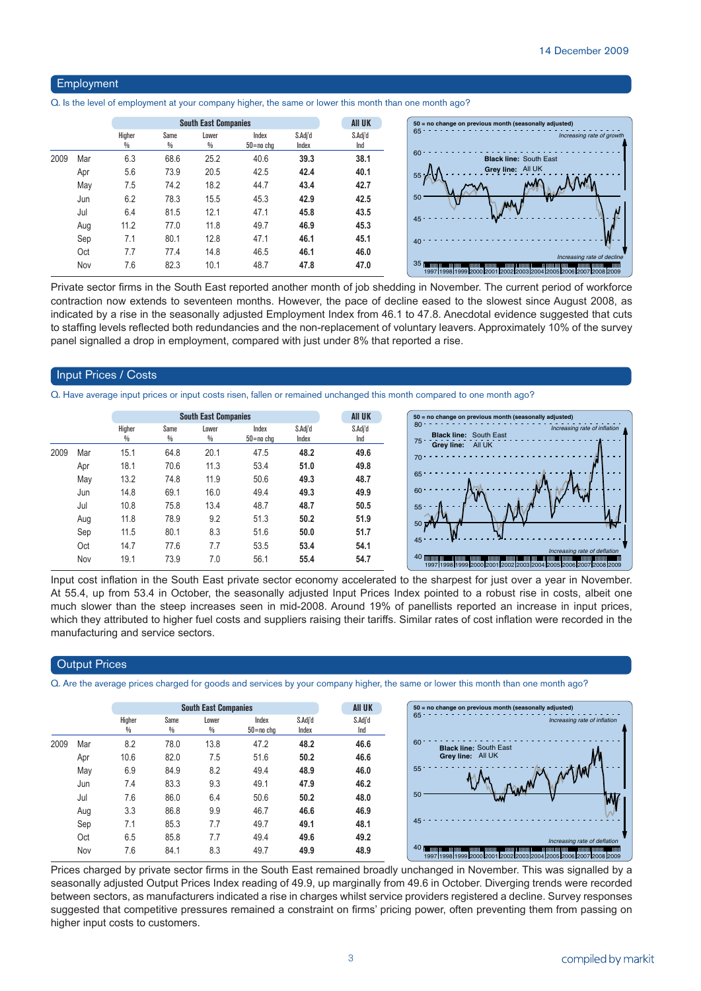#### Employment

Q. Is the level of employment at your company higher, the same or lower this month than one month ago?

|      |     |             | <b>South East Companies</b> |            |                    |                  |                |  |
|------|-----|-------------|-----------------------------|------------|--------------------|------------------|----------------|--|
|      |     | Higher<br>₩ | Same<br>₩                   | Lower<br>% | Index<br>50=no chg | S.Adj'd<br>Index | S.Adj'd<br>Ind |  |
| 2009 | Mar | 6.3         | 68.6                        | 25.2       | 40.6               | 39.3             | 38.1           |  |
|      | Apr | 5.6         | 73.9                        | 20.5       | 42.5               | 42.4             | 40.1           |  |
|      | May | 7.5         | 74.2                        | 18.2       | 44.7               | 43.4             | 42.7           |  |
|      | Jun | 6.2         | 78.3                        | 15.5       | 45.3               | 42.9             | 42.5           |  |
|      | Jul | 6.4         | 81.5                        | 12.1       | 47.1               | 45.8             | 43.5           |  |
|      | Aug | 11.2        | 77.0                        | 11.8       | 49.7               | 46.9             | 45.3           |  |
|      | Sep | 7.1         | 80.1                        | 12.8       | 47.1               | 46.1             | 45.1           |  |
|      | Oct | 7.7         | 77.4                        | 14.8       | 46.5               | 46.1             | 46.0           |  |
|      | Nov | 7.6         | 82.3                        | 10.1       | 48.7               | 47.8             | 47.0           |  |

Private sector firms in the South East reported another month of job shedding in November. The current period of workforce contraction now extends to seventeen months. However, the pace of decline eased to the slowest since August 2008, as indicated by a rise in the seasonally adjusted Employment Index from 46.1 to 47.8. Anecdotal evidence suggested that cuts to staffing levels reflected both redundancies and the non-replacement of voluntary leavers. Approximately 10% of the survey panel signalled a drop in employment, compared with just under 8% that reported a rise.

#### Input Prices / Costs

Q. Have average input prices or input costs risen, fallen or remained unchanged this month compared to one month ago?

|      |     |                         | <b>South East Companies</b> |                        |                        |                  |                |  |  |  |
|------|-----|-------------------------|-----------------------------|------------------------|------------------------|------------------|----------------|--|--|--|
|      |     | Higher<br>$\frac{0}{0}$ | Same<br>%                   | Lower<br>$\frac{0}{0}$ | Index<br>$50 = no$ chg | S.Adj'd<br>Index | S.Adj'd<br>Ind |  |  |  |
| 2009 | Mar | 15.1                    | 64.8                        | 20.1                   | 47.5                   | 48.2             | 49.6           |  |  |  |
|      | Apr | 18.1                    | 70.6                        | 11.3                   | 53.4                   | 51.0             | 49.8           |  |  |  |
|      | May | 13.2                    | 74.8                        | 11.9                   | 50.6                   | 49.3             | 48.7           |  |  |  |
|      | Jun | 14.8                    | 69.1                        | 16.0                   | 49.4                   | 49.3             | 49.9           |  |  |  |
|      | Jul | 10.8                    | 75.8                        | 13.4                   | 48.7                   | 48.7             | 50.5           |  |  |  |
|      | Aug | 11.8                    | 78.9                        | 9.2                    | 51.3                   | 50.2             | 51.9           |  |  |  |
|      | Sep | 11.5                    | 80.1                        | 8.3                    | 51.6                   | 50.0             | 51.7           |  |  |  |
|      | Oct | 14.7                    | 77.6                        | 7.7                    | 53.5                   | 53.4             | 54.1           |  |  |  |
|      | Nov | 19.1                    | 73.9                        | 7.0                    | 56.1                   | 55.4             | 54.7           |  |  |  |



Input cost inflation in the South East private sector economy accelerated to the sharpest for just over a year in November. At 55.4, up from 53.4 in October, the seasonally adjusted Input Prices Index pointed to a robust rise in costs, albeit one much slower than the steep increases seen in mid-2008. Around 19% of panellists reported an increase in input prices, which they attributed to higher fuel costs and suppliers raising their tariffs. Similar rates of cost inflation were recorded in the manufacturing and service sectors.

#### **Output Prices**

Q. Are the average prices charged for goods and services by your company higher, the same or lower this month than one month ago?

|      |     |             |           | <b>South East Companies</b> |                    |                  | <b>All UK</b>  | 50 = no change on previous month (seasonally adjusted)                                                                                                                                     |
|------|-----|-------------|-----------|-----------------------------|--------------------|------------------|----------------|--------------------------------------------------------------------------------------------------------------------------------------------------------------------------------------------|
|      |     | Higher<br>% | Same<br>% | Lower<br>%                  | Index<br>50=no cha | S.Adj'd<br>Index | S.Adj'd<br>Ind | 65<br>Increasing rate of inflation                                                                                                                                                         |
| 2009 | Mar | 8.2         | 78.0      | 13.8                        | 47.2               | 48.2             | 46.6           | 60<br><b>Black line: South East</b>                                                                                                                                                        |
|      | Apr | 10.6        | 82.0      | 7.5                         | 51.6               | 50.2             | 46.6           | Grey line: All UK                                                                                                                                                                          |
|      | May | 6.9         | 84.9      | 8.2                         | 49.4               | 48.9             | 46.0           | 55                                                                                                                                                                                         |
|      | Jun | 7.4         | 83.3      | 9.3                         | 49.1               | 47.9             | 46.2           |                                                                                                                                                                                            |
|      | Jul | 7.6         | 86.0      | 6.4                         | 50.6               | 50.2             | 48.0           | 50<br>w<br>W                                                                                                                                                                               |
|      | Aug | 3.3         | 86.8      | 9.9                         | 46.7               | 46.6             | 46.9           |                                                                                                                                                                                            |
|      | Sep | 7.1         | 85.3      | 7.7                         | 49.7               | 49.1             | 48.1           | 45                                                                                                                                                                                         |
|      | Oct | 6.5         | 85.8      | 7.7                         | 49.4               | 49.6             | 49.2           | Increasing rate of deflation                                                                                                                                                               |
|      | Nov | 7.6         | 84.1      | 8.3                         | 49.7               | 49.9             | 48.9           | 40 million million and the contract of the contract of the contract of the contract of the contract of the contract of<br>1997 1998 1999 2000 2001 2002 2003 2004 2005 2006 2007 2008 2009 |

Prices charged by private sector firms in the South East remained broadly unchanged in November. This was signalled by a seasonally adjusted Output Prices Index reading of 49.9, up marginally from 49.6 in October. Diverging trends were recorded between sectors, as manufacturers indicated a rise in charges whilst service providers registered a decline. Survey responses suggested that competitive pressures remained a constraint on firms' pricing power, often preventing them from passing on higher input costs to customers.